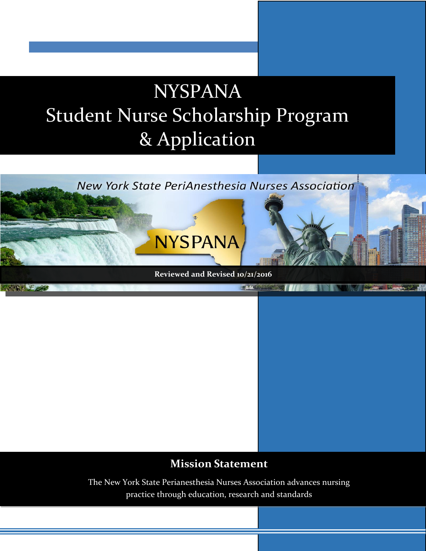# NYSPANA Student Nurse Scholarship Program & Application



### **Mission Statement**

The New York State Perianesthesia Nurses Association advances nursing practice through education, research and standards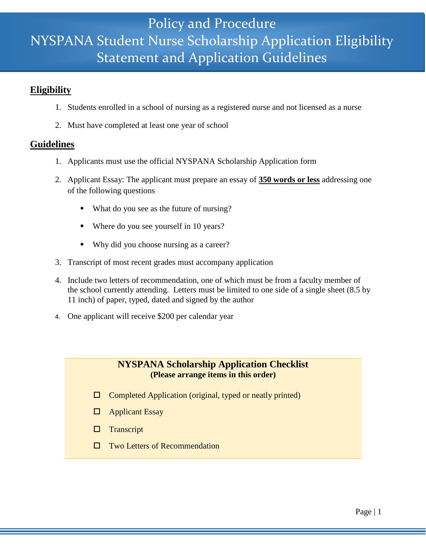### NYSPANA Student Nurse Scholarship Application Eligibility Policy and Procedure Statement and Application Guidelines

#### **Eligibility**

- 1. Students enrolled in a school of nursing as a registered nurse and not licensed as a nurse
- 2. Must have completed at least one year of school

#### **Guidelines**

- 1. Applicants must use the official NYSPANA Scholarship Application form
- 2. Applicant Essay: The applicant must prepare an essay of **350 words or less** addressing one of the following questions
	- What do you see as the future of nursing?
	- Where do you see yourself in 10 years?
	- Why did you choose nursing as a career?
- 3. Transcript of most recent grades must accompany application
- 4.Include two letters of recommendation, one of which must be from a faculty member of the school currently attending. Letters must be limited to one side of a single sheet (8.5 by 11 inch) of paper, typed, dated and signed by the author
- 4. One applicant will receive \$200 per calendar year

#### **NYSPANA Scholarship Application Checklist (Please arrange items in this order)**

- $\Box$  Completed Application (original, typed or neatly printed)
- □ Applicant Essay
- $\Box$  Transcript
- □ Two Letters of Recommendation